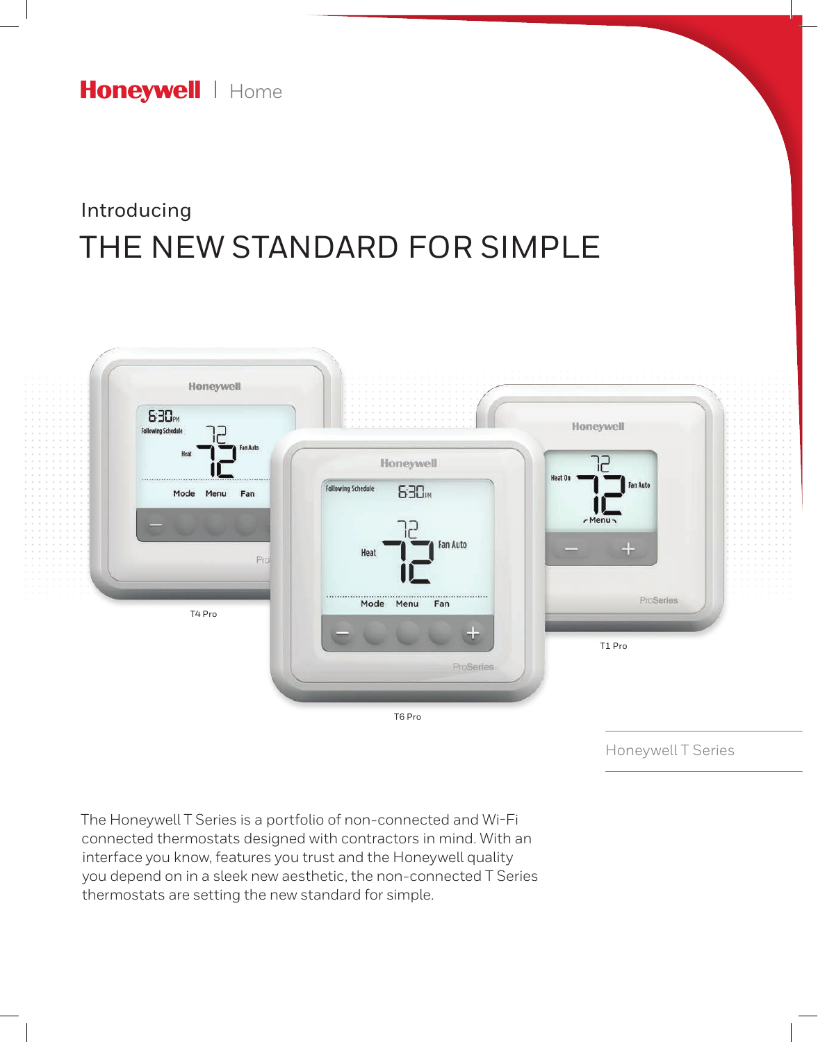Honeywell | Home

# THE NEW STANDARD FOR SIMPLE Introducing



The Honeywell T Series is a portfolio of non-connected and Wi-Fi connected thermostats designed with contractors in mind. With an interface you know, features you trust and the Honeywell quality you depend on in a sleek new aesthetic, the non-connected T Series thermostats are setting the new standard for simple.